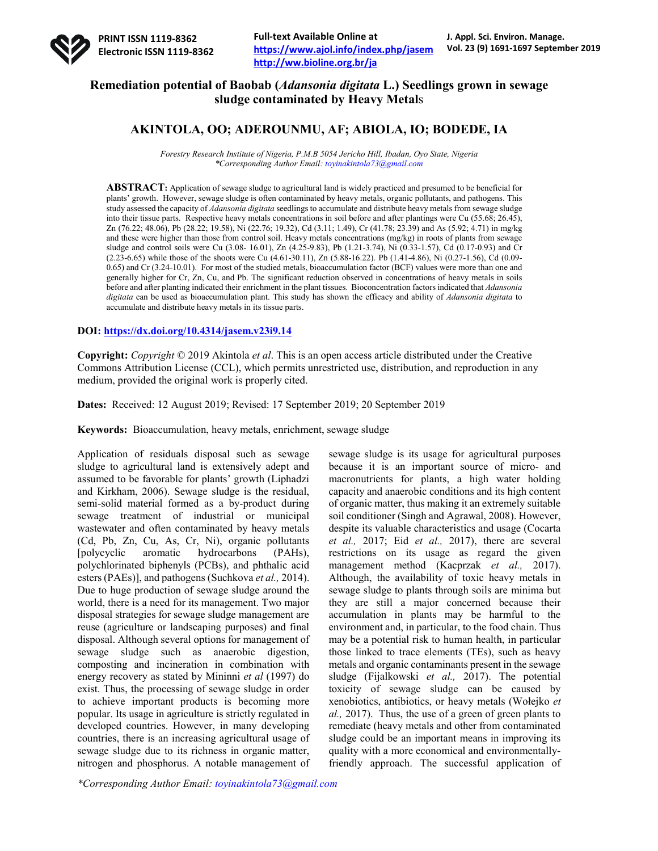

# **Remediation potential of Baobab (***Adansonia digitata* **L.) Seedlings grown in sewage sludge contaminated by Heavy Metal**s

# **AKINTOLA, OO; ADEROUNMU, AF; ABIOLA, IO; BODEDE, IA**

*Forestry Research Institute of Nigeria, P.M.B 5054 Jericho Hill, Ibadan, Oyo State, Nigeria \*Corresponding Author Email: toyinakintola73@gmail.com*

**ABSTRACT:** Application of sewage sludge to agricultural land is widely practiced and presumed to be beneficial for plants' growth. However, sewage sludge is often contaminated by heavy metals, organic pollutants, and pathogens. This study assessed the capacity of *Adansonia digitata* seedlings to accumulate and distribute heavy metals from sewage sludge into their tissue parts. Respective heavy metals concentrations in soil before and after plantings were Cu (55.68; 26.45), Zn (76.22; 48.06), Pb (28.22; 19.58), Ni (22.76; 19.32), Cd (3.11; 1.49), Cr (41.78; 23.39) and As (5.92; 4.71) in mg/kg and these were higher than those from control soil. Heavy metals concentrations (mg/kg) in roots of plants from sewage sludge and control soils were Cu (3.08- 16.01), Zn (4.25-9.83), Pb (1.21-3.74), Ni (0.33-1.57), Cd (0.17-0.93) and Cr (2.23-6.65) while those of the shoots were Cu (4.61-30.11), Zn (5.88-16.22). Pb (1.41-4.86), Ni (0.27-1.56), Cd (0.09- 0.65) and Cr (3.24-10.01). For most of the studied metals, bioaccumulation factor (BCF) values were more than one and generally higher for Cr, Zn, Cu, and Pb. The significant reduction observed in concentrations of heavy metals in soils before and after planting indicated their enrichment in the plant tissues. Bioconcentration factors indicated that *Adansonia digitata* can be used as bioaccumulation plant. This study has shown the efficacy and ability of *Adansonia digitata* to accumulate and distribute heavy metals in its tissue parts.

## **DOI: https://dx.doi.org/10.4314/jasem.v23i9.14**

**Copyright:** *Copyright* © 2019 Akintola *et al*. This is an open access article distributed under the Creative Commons Attribution License (CCL), which permits unrestricted use, distribution, and reproduction in any medium, provided the original work is properly cited.

**Dates:** Received: 12 August 2019; Revised: 17 September 2019; 20 September 2019

**Keywords:** Bioaccumulation, heavy metals, enrichment, sewage sludge

Application of residuals disposal such as sewage sludge to agricultural land is extensively adept and assumed to be favorable for plants' growth (Liphadzi and Kirkham, 2006). Sewage sludge is the residual, semi-solid material formed as a by-product during sewage treatment of industrial or municipal wastewater and often contaminated by heavy metals (Cd, Pb, Zn, Cu, As, Cr, Ni), organic pollutants [polycyclic aromatic hydrocarbons (PAHs), polychlorinated biphenyls (PCBs), and phthalic acid esters (PAEs)], and pathogens (Suchkova *et al.,* 2014). Due to huge production of sewage sludge around the world, there is a need for its management. Two major disposal strategies for sewage sludge management are reuse (agriculture or landscaping purposes) and final disposal. Although several options for management of sewage sludge such as anaerobic digestion, composting and incineration in combination with energy recovery as stated by Mininni *et al* (1997) do exist. Thus, the processing of sewage sludge in order to achieve important products is becoming more popular. Its usage in agriculture is strictly regulated in developed countries. However, in many developing countries, there is an increasing agricultural usage of sewage sludge due to its richness in organic matter, nitrogen and phosphorus. A notable management of

sewage sludge is its usage for agricultural purposes because it is an important source of micro- and macronutrients for plants, a high water holding capacity and anaerobic conditions and its high content of organic matter, thus making it an extremely suitable soil conditioner (Singh and Agrawal, 2008). However, despite its valuable characteristics and usage (Cocarta *et al.,* 2017; Eid *et al.,* 2017), there are several restrictions on its usage as regard the given management method (Kacprzak *et al.,* 2017). Although, the availability of toxic heavy metals in sewage sludge to plants through soils are minima but they are still a major concerned because their accumulation in plants may be harmful to the environment and, in particular, to the food chain. Thus may be a potential risk to human health, in particular those linked to trace elements (TEs), such as heavy metals and organic contaminants present in the sewage sludge (Fijalkowski *et al.,* 2017). The potential toxicity of sewage sludge can be caused by xenobiotics, antibiotics, or heavy metals (Wołejko *et al.,* 2017). Thus, the use of a green of green plants to remediate (heavy metals and other from contaminated sludge could be an important means in improving its quality with a more economical and environmentallyfriendly approach. The successful application of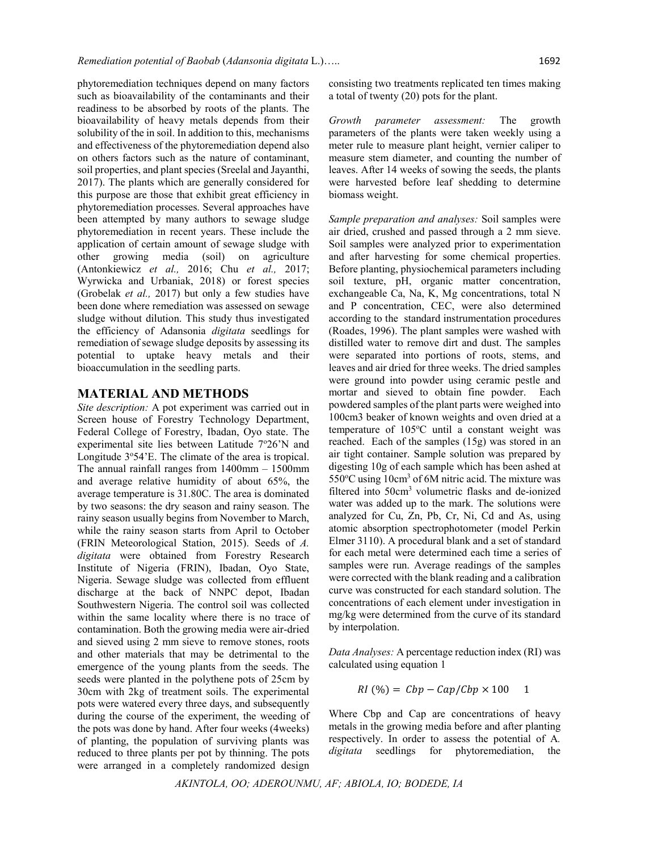phytoremediation techniques depend on many factors such as bioavailability of the contaminants and their readiness to be absorbed by roots of the plants. The bioavailability of heavy metals depends from their solubility of the in soil. In addition to this, mechanisms and effectiveness of the phytoremediation depend also on others factors such as the nature of contaminant, soil properties, and plant species (Sreelal and Jayanthi, 2017). The plants which are generally considered for this purpose are those that exhibit great efficiency in phytoremediation processes. Several approaches have been attempted by many authors to sewage sludge phytoremediation in recent years. These include the application of certain amount of sewage sludge with other growing media (soil) on agriculture (Antonkiewicz *et al.,* 2016; Chu *et al.,* 2017; Wyrwicka and Urbaniak, 2018) or forest species (Grobelak *et al.,* 2017) but only a few studies have been done where remediation was assessed on sewage sludge without dilution. This study thus investigated the efficiency of Adansonia *digitata* seedlings for remediation of sewage sludge deposits by assessing its potential to uptake heavy metals and their bioaccumulation in the seedling parts.

#### **MATERIAL AND METHODS**

*Site description:* A pot experiment was carried out in Screen house of Forestry Technology Department, Federal College of Forestry, Ibadan, Oyo state. The experimental site lies between Latitude 7°26'N and Longitude 3°54'E. The climate of the area is tropical. The annual rainfall ranges from  $1400$ mm  $- 1500$ mm and average relative humidity of about 65%, the average temperature is 31.80C. The area is dominated by two seasons: the dry season and rainy season. The rainy season usually begins from November to March, while the rainy season starts from April to October (FRIN Meteorological Station, 2015). Seeds of *A. digitata* were obtained from Forestry Research Institute of Nigeria (FRIN), Ibadan, Oyo State, Nigeria. Sewage sludge was collected from effluent discharge at the back of NNPC depot, Ibadan Southwestern Nigeria. The control soil was collected within the same locality where there is no trace of contamination. Both the growing media were air-dried and sieved using 2 mm sieve to remove stones, roots and other materials that may be detrimental to the emergence of the young plants from the seeds. The seeds were planted in the polythene pots of 25cm by 30cm with 2kg of treatment soils. The experimental pots were watered every three days, and subsequently during the course of the experiment, the weeding of the pots was done by hand. After four weeks (4weeks) of planting, the population of surviving plants was reduced to three plants per pot by thinning. The pots were arranged in a completely randomized design

consisting two treatments replicated ten times making a total of twenty (20) pots for the plant.

*Growth parameter assessment:* The growth parameters of the plants were taken weekly using a meter rule to measure plant height, vernier caliper to measure stem diameter, and counting the number of leaves. After 14 weeks of sowing the seeds, the plants were harvested before leaf shedding to determine biomass weight.

*Sample preparation and analyses:* Soil samples were air dried, crushed and passed through a 2 mm sieve. Soil samples were analyzed prior to experimentation and after harvesting for some chemical properties. Before planting, physiochemical parameters including soil texture, pH, organic matter concentration, exchangeable Ca, Na, K, Mg concentrations, total N and P concentration, CEC, were also determined according to the standard instrumentation procedures (Roades, 1996). The plant samples were washed with distilled water to remove dirt and dust. The samples were separated into portions of roots, stems, and leaves and air dried for three weeks. The dried samples were ground into powder using ceramic pestle and mortar and sieved to obtain fine powder. Each powdered samples of the plant parts were weighed into 100cm3 beaker of known weights and oven dried at a temperature of 105°C until a constant weight was reached. Each of the samples (15g) was stored in an air tight container. Sample solution was prepared by digesting 10g of each sample which has been ashed at 550°C using 10cm<sup>3</sup> of 6M nitric acid. The mixture was filtered into 50cm3 volumetric flasks and de-ionized water was added up to the mark. The solutions were analyzed for Cu, Zn, Pb, Cr, Ni, Cd and As, using atomic absorption spectrophotometer (model Perkin Elmer 3110). A procedural blank and a set of standard for each metal were determined each time a series of samples were run. Average readings of the samples were corrected with the blank reading and a calibration curve was constructed for each standard solution. The concentrations of each element under investigation in mg/kg were determined from the curve of its standard by interpolation.

*Data Analyses:* A percentage reduction index (RI) was calculated using equation 1

$$
RI\left(\% \right) = \mathit{Cbp} - \mathit{Cap}/\mathit{Cbp} \times 100 \quad 1
$$

Where Cbp and Cap are concentrations of heavy metals in the growing media before and after planting respectively. In order to assess the potential of A*. digitata* seedlings for phytoremediation, the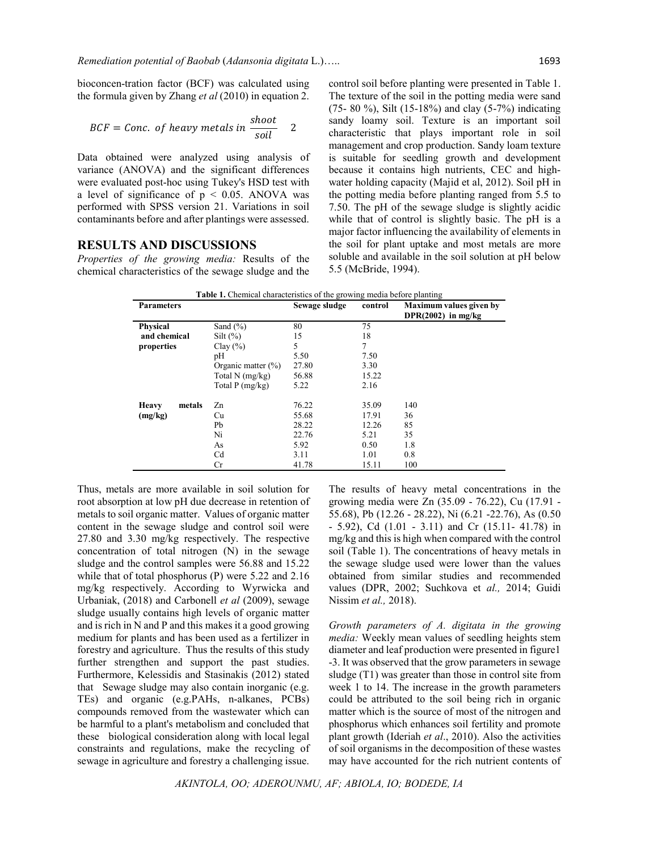bioconcen-tration factor (BCF) was calculated using the formula given by Zhang *et al* (2010) in equation 2.

$$
BCF = Conc. of heavy metals in \frac{shoot}{soil}
$$
 2

Data obtained were analyzed using analysis of variance (ANOVA) and the significant differences were evaluated post-hoc using Tukey's HSD test with a level of significance of  $p < 0.05$ . ANOVA was performed with SPSS version 21. Variations in soil contaminants before and after plantings were assessed.

## **RESULTS AND DISCUSSIONS**

*Properties of the growing media:* Results of the chemical characteristics of the sewage sludge and the

control soil before planting were presented in Table 1. The texture of the soil in the potting media were sand (75- 80 %), Silt (15-18%) and clay (5-7%) indicating sandy loamy soil. Texture is an important soil characteristic that plays important role in soil management and crop production. Sandy loam texture is suitable for seedling growth and development because it contains high nutrients, CEC and highwater holding capacity (Majid et al, 2012). Soil pH in the potting media before planting ranged from 5.5 to 7.50. The pH of the sewage sludge is slightly acidic while that of control is slightly basic. The pH is a major factor influencing the availability of elements in the soil for plant uptake and most metals are more soluble and available in the soil solution at pH below 5.5 (McBride, 1994).

| <b>Parameters</b>      |                        | Sewage sludge | control | Maximum values given by<br>DPR $(2002)$ in mg/kg |
|------------------------|------------------------|---------------|---------|--------------------------------------------------|
| <b>Physical</b>        | Sand $(\% )$           | 80            | 75      |                                                  |
| and chemical           | Silt $(\%)$            | 15            | 18      |                                                  |
| properties             | Clay $(\% )$           | 5             | 7       |                                                  |
|                        | pH                     | 5.50          | 7.50    |                                                  |
|                        | Organic matter $(\% )$ | 27.80         | 3.30    |                                                  |
|                        | Total $N$ (mg/kg)      | 56.88         | 15.22   |                                                  |
|                        | Total $P(mg/kg)$       | 5.22          | 2.16    |                                                  |
| <b>Heavy</b><br>metals | Zn                     | 76.22         | 35.09   | 140                                              |
| (mg/kg)                | Cu                     | 55.68         | 17.91   | 36                                               |
|                        | Pb                     | 28.22         | 12.26   | 85                                               |
|                        | Ni                     | 22.76         | 5.21    | 35                                               |
|                        | As                     | 5.92          | 0.50    | 1.8                                              |
|                        | Cd                     | 3.11          | 1.01    | 0.8                                              |
|                        | Cr                     | 41.78         | 15.11   | 100                                              |

Thus, metals are more available in soil solution for root absorption at low pH due decrease in retention of metals to soil organic matter. Values of organic matter content in the sewage sludge and control soil were 27.80 and 3.30 mg/kg respectively. The respective concentration of total nitrogen (N) in the sewage sludge and the control samples were 56.88 and 15.22 while that of total phosphorus (P) were 5.22 and 2.16 mg/kg respectively. According to Wyrwicka and Urbaniak, (2018) and Carbonell *et al* (2009), sewage sludge usually contains high levels of organic matter and is rich in N and P and this makes it a good growing medium for plants and has been used as a fertilizer in forestry and agriculture. Thus the results of this study further strengthen and support the past studies. Furthermore, Kelessidis and Stasinakis (2012) stated that Sewage sludge may also contain inorganic (e.g. TEs) and organic (e.g.PAHs, n-alkanes, PCBs) compounds removed from the wastewater which can be harmful to a plant's metabolism and concluded that these biological consideration along with local legal constraints and regulations, make the recycling of sewage in agriculture and forestry a challenging issue.

The results of heavy metal concentrations in the growing media were Zn (35.09 - 76.22), Cu (17.91 - 55.68), Pb (12.26 - 28.22), Ni (6.21 -22.76), As (0.50 - 5.92), Cd (1.01 - 3.11) and Cr (15.11- 41.78) in mg/kg and this is high when compared with the control soil (Table 1). The concentrations of heavy metals in the sewage sludge used were lower than the values obtained from similar studies and recommended values (DPR, 2002; Suchkova et *al.,* 2014; Guidi Nissim *et al.,* 2018).

*Growth parameters of A. digitata in the growing media:* Weekly mean values of seedling heights stem diameter and leaf production were presented in figure1 -3. It was observed that the grow parameters in sewage sludge (T1) was greater than those in control site from week 1 to 14. The increase in the growth parameters could be attributed to the soil being rich in organic matter which is the source of most of the nitrogen and phosphorus which enhances soil fertility and promote plant growth (Ideriah *et al*., 2010). Also the activities of soil organisms in the decomposition of these wastes may have accounted for the rich nutrient contents of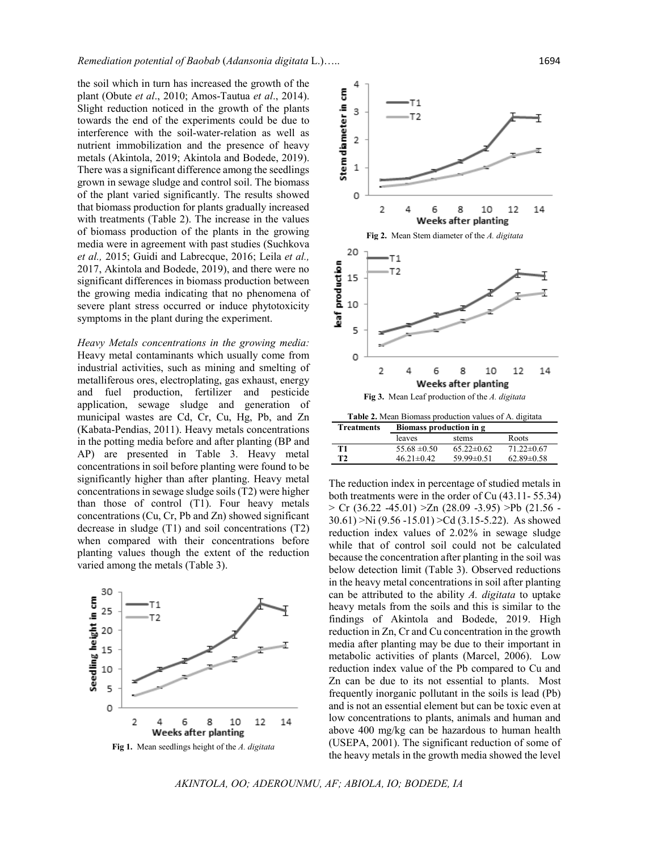the soil which in turn has increased the growth of the plant (Obute *et al*., 2010; Amos-Tautua *et al*., 2014). Slight reduction noticed in the growth of the plants towards the end of the experiments could be due to interference with the soil-water-relation as well as nutrient immobilization and the presence of heavy metals (Akintola, 2019; Akintola and Bodede, 2019). There was a significant difference among the seedlings grown in sewage sludge and control soil. The biomass of the plant varied significantly. The results showed that biomass production for plants gradually increased with treatments (Table 2). The increase in the values of biomass production of the plants in the growing media were in agreement with past studies (Suchkova *et al.,* 2015; Guidi and Labrecque, 2016; Leila *et al.,* 2017, Akintola and Bodede, 2019), and there were no significant differences in biomass production between the growing media indicating that no phenomena of severe plant stress occurred or induce phytotoxicity symptoms in the plant during the experiment.

*Heavy Metals concentrations in the growing media:* Heavy metal contaminants which usually come from industrial activities, such as mining and smelting of metalliferous ores, electroplating, gas exhaust, energy and fuel production, fertilizer and pesticide application, sewage sludge and generation of municipal wastes are Cd, Cr, Cu, Hg, Pb, and Zn (Kabata-Pendias, 2011). Heavy metals concentrations in the potting media before and after planting (BP and AP) are presented in Table 3. Heavy metal concentrations in soil before planting were found to be significantly higher than after planting. Heavy metal concentrations in sewage sludge soils (T2) were higher than those of control (T1). Four heavy metals concentrations (Cu, Cr, Pb and Zn) showed significant decrease in sludge (T1) and soil concentrations (T2) when compared with their concentrations before planting values though the extent of the reduction varied among the metals (Table 3).



**Fig 1.** Mean seedlings height of the *A. digitata*



| птеаннопе | Divinass proudction in g |                  |                  |
|-----------|--------------------------|------------------|------------------|
|           | leaves                   | stems            | Roots            |
| T1        | $55.68 \pm 0.50$         | $65.22 \pm 0.62$ | $71.22 \pm 0.67$ |
| T2        | $46.21 \pm 0.42$         | $59.99 \pm 0.51$ | $62.89 \pm 0.58$ |
|           |                          |                  |                  |

The reduction index in percentage of studied metals in both treatments were in the order of Cu (43.11- 55.34)  $>$  Cr (36.22 -45.01)  $>$ Zn (28.09 -3.95)  $>$ Pb (21.56 -30.61) >Ni (9.56 -15.01) >Cd (3.15-5.22). As showed reduction index values of 2.02% in sewage sludge while that of control soil could not be calculated because the concentration after planting in the soil was below detection limit (Table 3). Observed reductions in the heavy metal concentrations in soil after planting can be attributed to the ability *A. digitata* to uptake heavy metals from the soils and this is similar to the findings of Akintola and Bodede, 2019. High reduction in Zn, Cr and Cu concentration in the growth media after planting may be due to their important in metabolic activities of plants (Marcel, 2006). Low reduction index value of the Pb compared to Cu and Zn can be due to its not essential to plants. Most frequently inorganic pollutant in the soils is lead (Pb) and is not an essential element but can be toxic even at low concentrations to plants, animals and human and above 400 mg/kg can be hazardous to human health (USEPA, 2001). The significant reduction of some of the heavy metals in the growth media showed the level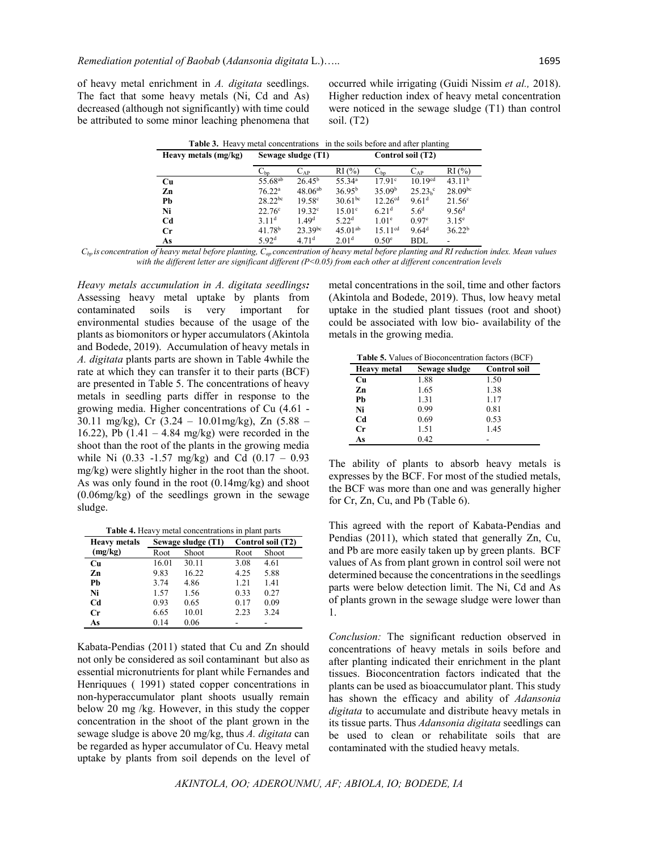of heavy metal enrichment in *A. digitata* seedlings. The fact that some heavy metals (Ni, Cd and As) decreased (although not significantly) with time could be attributed to some minor leaching phenomena that occurred while irrigating (Guidi Nissim *et al.,* 2018). Higher reduction index of heavy metal concentration were noticed in the sewage sludge (T1) than control soil. (T2)

| <b>Table 3.</b> Heavy metal concentrations in the soils before and after planting |                     |                            |                    |                    |                     |                    |
|-----------------------------------------------------------------------------------|---------------------|----------------------------|--------------------|--------------------|---------------------|--------------------|
| Heavy metals (mg/kg)                                                              | Sewage sludge (T1)  |                            |                    | Control soil (T2)  |                     |                    |
|                                                                                   | $\mathrm{C_{bo}}$   | $\mathrm{C}_{\mathrm{AP}}$ | $RI(\%)$           | $C_{bp}$           | $C_{AP}$            | RI(%)              |
| <b>Cu</b>                                                                         | 55.68 <sup>ab</sup> | $26.45^{\rm b}$            | 55.34 <sup>a</sup> | 17.91c             | 10.19 <sup>cd</sup> | 43.11 <sup>b</sup> |
| Zn                                                                                | $76.22^{\rm a}$     | $48.06^{ab}$               | 36.95 <sup>b</sup> | 35.09 <sup>b</sup> | $25.23h$ °          | $28.09^{bc}$       |
| Pb                                                                                | $28.22^{bc}$        | $19.58^{\circ}$            | $30.61^{bc}$       | $12.26^{cd}$       | 9.61 <sup>d</sup>   | $21.56^{\circ}$    |
| Ni                                                                                | $22.76^{\circ}$     | $19.32^{\circ}$            | $15.01^{\circ}$    | 6.21 <sup>d</sup>  | 5.6 <sup>d</sup>    | 9.56 <sup>d</sup>  |
| C <sub>d</sub>                                                                    | 3.11 <sup>d</sup>   | 1.49 <sup>d</sup>          | 5.22 <sup>d</sup>  | 1.01 <sup>e</sup>  | 0.97 <sup>e</sup>   | $3.15^{\circ}$     |
| $_{\rm Cr}$                                                                       | 41.78 <sup>b</sup>  | $23.39^{bc}$               | $45.01^{ab}$       | $15.11^{cd}$       | 9.64 <sup>d</sup>   | 36.22 <sup>b</sup> |
| As                                                                                | 5.92 <sup>d</sup>   | 4.71 <sup>d</sup>          | 2.01 <sup>d</sup>  | 0.50 <sup>e</sup>  | <b>BDL</b>          |                    |

*Cbp is concentration of heavy metal before planting, Cap concentration of heavy metal before planting and RI reduction index. Mean values with the different letter are significant different (P<0.05) from each other at different concentration levels*

*Heavy metals accumulation in A. digitata seedlings:*  Assessing heavy metal uptake by plants from contaminated soils is very important for environmental studies because of the usage of the plants as biomonitors or hyper accumulators (Akintola and Bodede, 2019). Accumulation of heavy metals in *A. digitata* plants parts are shown in Table 4while the rate at which they can transfer it to their parts (BCF) are presented in Table 5. The concentrations of heavy metals in seedling parts differ in response to the growing media. Higher concentrations of Cu (4.61 - 30.11 mg/kg), Cr (3.24 – 10.01mg/kg), Zn (5.88 – 16.22), Pb  $(1.41 - 4.84 \text{ mg/kg})$  were recorded in the shoot than the root of the plants in the growing media while Ni  $(0.33 -1.57 \text{ mg/kg})$  and Cd  $(0.17 - 0.93 \text{ m})$ mg/kg) were slightly higher in the root than the shoot. As was only found in the root (0.14mg/kg) and shoot (0.06mg/kg) of the seedlings grown in the sewage sludge.

**Table 4.** Heavy metal concentrations in plant parts

| <b>Heavy metals</b> | Sewage sludge (T1) |       | Control soil (T2) |       |  |
|---------------------|--------------------|-------|-------------------|-------|--|
| (mg/kg)             | Root               | Shoot | Root              | Shoot |  |
| Cu                  | 16.01              | 30.11 | 3.08              | 4.61  |  |
| Zn                  | 9.83               | 16.22 | 4.25              | 5.88  |  |
| Pb                  | 3.74               | 4.86  | 1.21              | 1.41  |  |
| Ni                  | 1.57               | 1.56  | 0.33              | 0.27  |  |
| Cd                  | 0.93               | 0.65  | 0.17              | 0.09  |  |
| Cr                  | 6.65               | 10.01 | 2.23              | 3.24  |  |
| As                  | 0.14               | 0.06  |                   |       |  |

Kabata-Pendias (2011) stated that Cu and Zn should not only be considered as soil contaminant but also as essential micronutrients for plant while Fernandes and Henriquues ( 1991) stated copper concentrations in non-hyperaccumulator plant shoots usually remain below 20 mg /kg. However, in this study the copper concentration in the shoot of the plant grown in the sewage sludge is above 20 mg/kg, thus *A. digitata* can be regarded as hyper accumulator of Cu. Heavy metal uptake by plants from soil depends on the level of

metal concentrations in the soil, time and other factors (Akintola and Bodede, 2019). Thus, low heavy metal uptake in the studied plant tissues (root and shoot) could be associated with low bio- availability of the metals in the growing media.

**Table 5.** Values of Bioconcentration factors (BCF)

| <b>Heavy metal</b> | Sewage sludge | <b>Control soil</b> |
|--------------------|---------------|---------------------|
| Cu                 | 1.88          | 1.50                |
| Zn                 | 1.65          | 1.38                |
| Ph                 | 1.31          | 1.17                |
| Ni                 | 0.99          | 0.81                |
| Cd                 | 0.69          | 0.53                |
| Cr                 | 1.51          | 1.45                |
| As                 | 0.42          |                     |

The ability of plants to absorb heavy metals is expresses by the BCF. For most of the studied metals, the BCF was more than one and was generally higher for Cr, Zn, Cu, and Pb (Table 6).

This agreed with the report of Kabata-Pendias and Pendias (2011), which stated that generally Zn, Cu, and Pb are more easily taken up by green plants. BCF values of As from plant grown in control soil were not determined because the concentrations in the seedlings parts were below detection limit. The Ni, Cd and As of plants grown in the sewage sludge were lower than 1.

*Conclusion:* The significant reduction observed in concentrations of heavy metals in soils before and after planting indicated their enrichment in the plant tissues. Bioconcentration factors indicated that the plants can be used as bioaccumulator plant. This study has shown the efficacy and ability of *Adansonia digitata* to accumulate and distribute heavy metals in its tissue parts. Thus *Adansonia digitata* seedlings can be used to clean or rehabilitate soils that are contaminated with the studied heavy metals.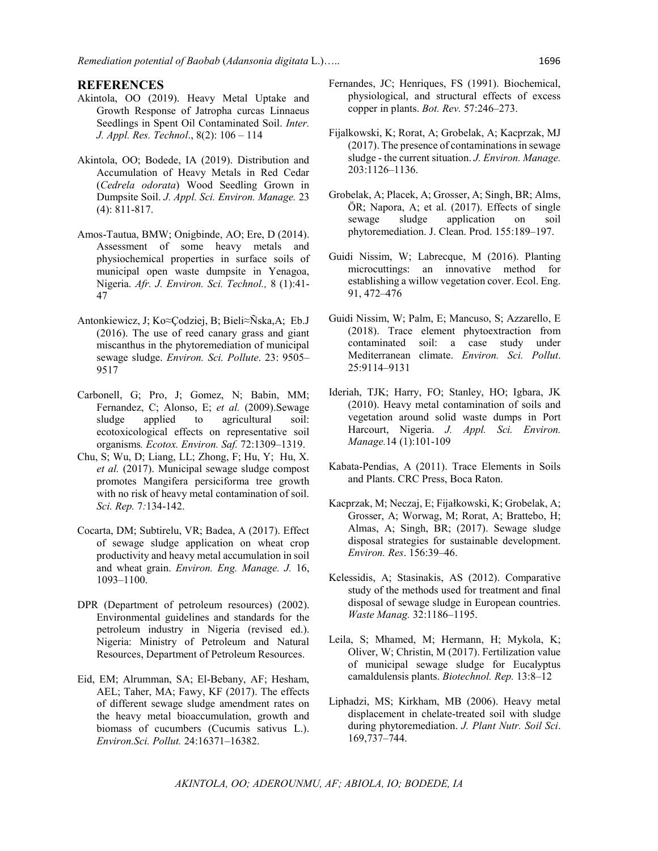#### **REFERENCES**

- Akintola, OO (2019). Heavy Metal Uptake and Growth Response of Jatropha curcas Linnaeus Seedlings in Spent Oil Contaminated Soil. *Inter. J. Appl. Res. Technol*., 8(2): 106 – 114
- Akintola, OO; Bodede, IA (2019). Distribution and Accumulation of Heavy Metals in Red Cedar (*Cedrela odorata*) Wood Seedling Grown in Dumpsite Soil. *J. Appl. Sci. Environ. Manage.* 23 (4): 811-817.
- Amos-Tautua, BMW; Onigbinde, AO; Ere, D (2014). Assessment of some heavy metals and physiochemical properties in surface soils of municipal open waste dumpsite in Yenagoa, Nigeria. *Afr. J. Environ. Sci. Technol.,* 8 (1):41- 47
- Antonkiewicz, J; Ko $\approx$ Codziej, B; Bieli $\approx$ Ñska,A; Eb.J (2016). The use of reed canary grass and giant miscanthus in the phytoremediation of municipal sewage sludge. *Environ. Sci. Pollute*. 23: 9505– 9517
- Carbonell, G; Pro, J; Gomez, N; Babin, MM; Fernandez, C; Alonso, E; *et al.* (2009).Sewage sludge applied to agricultural soil: ecotoxicological effects on representative soil organisms*. Ecotox. Environ. Saf.* 72:1309–1319.
- Chu, S; Wu, D; Liang, LL; Zhong, F; Hu, Y; Hu, X. *et al.* (2017). Municipal sewage sludge compost promotes Mangifera persiciforma tree growth with no risk of heavy metal contamination of soil. *Sci. Rep.* 7*:*134-142.
- Cocarta, DM; Subtirelu, VR; Badea, A (2017). Effect of sewage sludge application on wheat crop productivity and heavy metal accumulation in soil and wheat grain. *Environ. Eng. Manage. J.* 16, 1093–1100.
- DPR (Department of petroleum resources) (2002). Environmental guidelines and standards for the petroleum industry in Nigeria (revised ed.). Nigeria: Ministry of Petroleum and Natural Resources, Department of Petroleum Resources.
- Eid, EM; Alrumman, SA; El-Bebany, AF; Hesham, AEL; Taher, MA; Fawy, KF (2017). The effects of different sewage sludge amendment rates on the heavy metal bioaccumulation, growth and biomass of cucumbers (Cucumis sativus L.). *Environ.Sci. Pollut.* 24:16371–16382.
- Fernandes, JC; Henriques, FS (1991). Biochemical, physiological, and structural effects of excess copper in plants. *Bot. Rev.* 57:246–273.
- Fijalkowski, K; Rorat, A; Grobelak, A; Kacprzak, MJ  $(2017)$ . The presence of contaminations in sewage sludge - the current situation. *J. Environ. Manage.* 203:1126–1136.
- Grobelak, A; Placek, A; Grosser, A; Singh, BR; Alms, ÖR; Napora, A; et al. (2017). Effects of single sewage sludge application on soil phytoremediation. J. Clean. Prod. 155:189–197.
- Guidi Nissim, W; Labrecque, M (2016). Planting microcuttings: an innovative method for establishing a willow vegetation cover. Ecol. Eng. 91, 472–476
- Guidi Nissim, W; Palm, E; Mancuso, S; Azzarello, E (2018). Trace element phytoextraction from contaminated soil: a case study under Mediterranean climate. *Environ. Sci. Pollut*. 25:9114–9131
- Ideriah, TJK; Harry, FO; Stanley, HO; Igbara, JK (2010). Heavy metal contamination of soils and vegetation around solid waste dumps in Port Harcourt, Nigeria. *J. Appl. Sci. Environ. Manage.*14 (1):101-109
- Kabata-Pendias, A (2011). Trace Elements in Soils and Plants. CRC Press, Boca Raton.
- Kacprzak, M; Neczaj, E; Fijałkowski, K; Grobelak, A; Grosser, A; Worwag, M; Rorat, A; Brattebo, H; Almas, A; Singh, BR; (2017). Sewage sludge disposal strategies for sustainable development. *Environ. Res*. 156:39–46.
- Kelessidis, A; Stasinakis, AS (2012). Comparative study of the methods used for treatment and final disposal of sewage sludge in European countries. *Waste Manag.* 32:1186–1195.
- Leila, S; Mhamed, M; Hermann, H; Mykola, K; Oliver, W; Christin, M (2017). Fertilization value of municipal sewage sludge for Eucalyptus camaldulensis plants. *Biotechnol. Rep.* 13:8–12
- Liphadzi, MS; Kirkham, MB (2006). Heavy metal displacement in chelate-treated soil with sludge during phytoremediation. *J. Plant Nutr. Soil Sci*. 169,737–744.

*AKINTOLA, OO; ADEROUNMU, AF; ABIOLA, IO; BODEDE, IA*